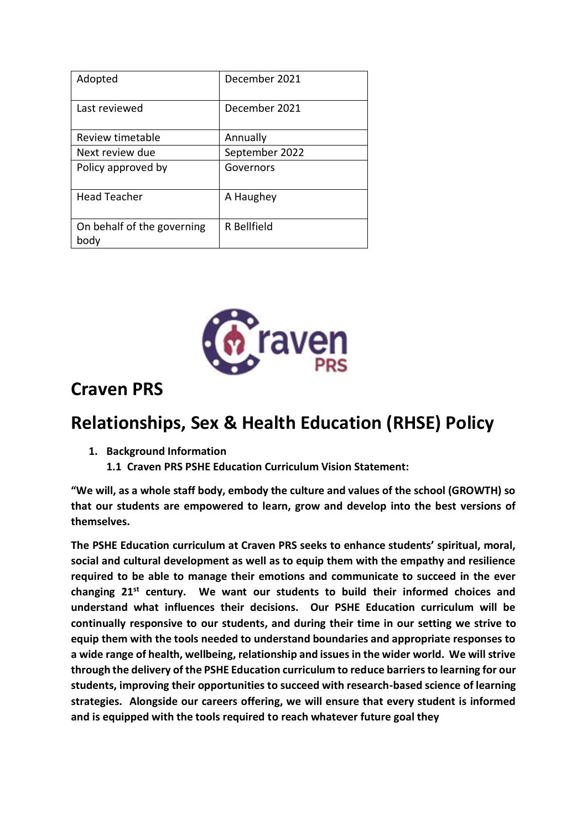| Adopted                            | December 2021  |
|------------------------------------|----------------|
| Last reviewed                      | December 2021  |
| Review timetable                   | Annually       |
| Next review due                    | September 2022 |
| Policy approved by                 | Governors      |
| <b>Head Teacher</b>                | A Haughey      |
| On behalf of the governing<br>body | R Bellfield    |



# **Craven PRS**

# **Relationships, Sex & Health Education (RHSE) Policy**

- **1. Background Information**
	- **1.1 Craven PRS PSHE Education Curriculum Vision Statement:**

**"We will, as a whole staff body, embody the culture and values of the school (GROWTH) so that our students are empowered to learn, grow and develop into the best versions of themselves.**

**The PSHE Education curriculum at Craven PRS seeks to enhance students' spiritual, moral, social and cultural development as well as to equip them with the empathy and resilience required to be able to manage their emotions and communicate to succeed in the ever changing 21st century. We want our students to build their informed choices and understand what influences their decisions. Our PSHE Education curriculum will be continually responsive to our students, and during their time in our setting we strive to equip them with the tools needed to understand boundaries and appropriate responses to a wide range of health, wellbeing, relationship and issues in the wider world. We will strive through the delivery of the PSHE Education curriculum to reduce barriers to learning for our students, improving their opportunities to succeed with research-based science of learning strategies. Alongside our careers offering, we will ensure that every student is informed and is equipped with the tools required to reach whatever future goal they**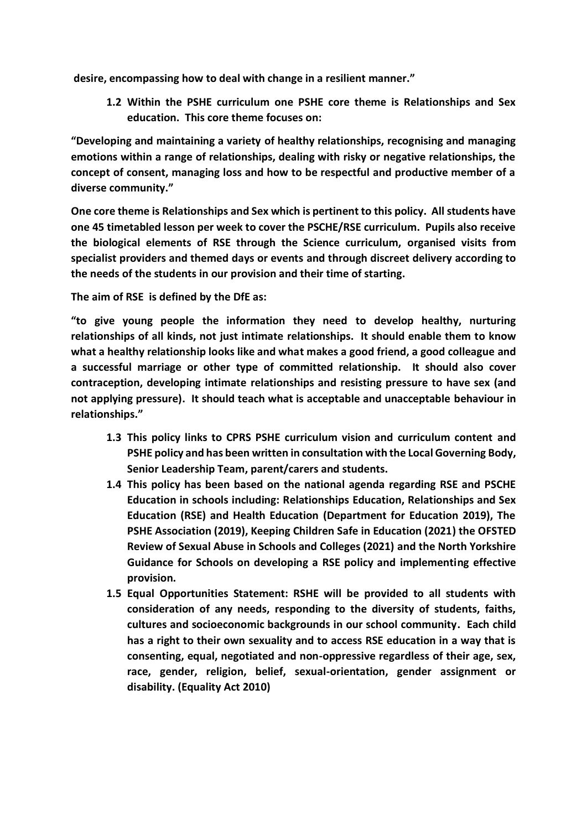**desire, encompassing how to deal with change in a resilient manner."**

**1.2 Within the PSHE curriculum one PSHE core theme is Relationships and Sex education. This core theme focuses on:**

**"Developing and maintaining a variety of healthy relationships, recognising and managing emotions within a range of relationships, dealing with risky or negative relationships, the concept of consent, managing loss and how to be respectful and productive member of a diverse community."**

**One core theme is Relationships and Sex which is pertinent to this policy. All students have one 45 timetabled lesson per week to cover the PSCHE/RSE curriculum. Pupils also receive the biological elements of RSE through the Science curriculum, organised visits from specialist providers and themed days or events and through discreet delivery according to the needs of the students in our provision and their time of starting.**

**The aim of RSE is defined by the DfE as:**

**"to give young people the information they need to develop healthy, nurturing relationships of all kinds, not just intimate relationships. It should enable them to know what a healthy relationship looks like and what makes a good friend, a good colleague and a successful marriage or other type of committed relationship. It should also cover contraception, developing intimate relationships and resisting pressure to have sex (and not applying pressure). It should teach what is acceptable and unacceptable behaviour in relationships."**

- **1.3 This policy links to CPRS PSHE curriculum vision and curriculum content and PSHE policy and has been written in consultation with the Local Governing Body, Senior Leadership Team, parent/carers and students.**
- **1.4 This policy has been based on the national agenda regarding RSE and PSCHE Education in schools including: Relationships Education, Relationships and Sex Education (RSE) and Health Education (Department for Education 2019), The PSHE Association (2019), Keeping Children Safe in Education (2021) the OFSTED Review of Sexual Abuse in Schools and Colleges (2021) and the North Yorkshire Guidance for Schools on developing a RSE policy and implementing effective provision.**
- **1.5 Equal Opportunities Statement: RSHE will be provided to all students with consideration of any needs, responding to the diversity of students, faiths, cultures and socioeconomic backgrounds in our school community. Each child has a right to their own sexuality and to access RSE education in a way that is consenting, equal, negotiated and non-oppressive regardless of their age, sex, race, gender, religion, belief, sexual-orientation, gender assignment or disability. (Equality Act 2010)**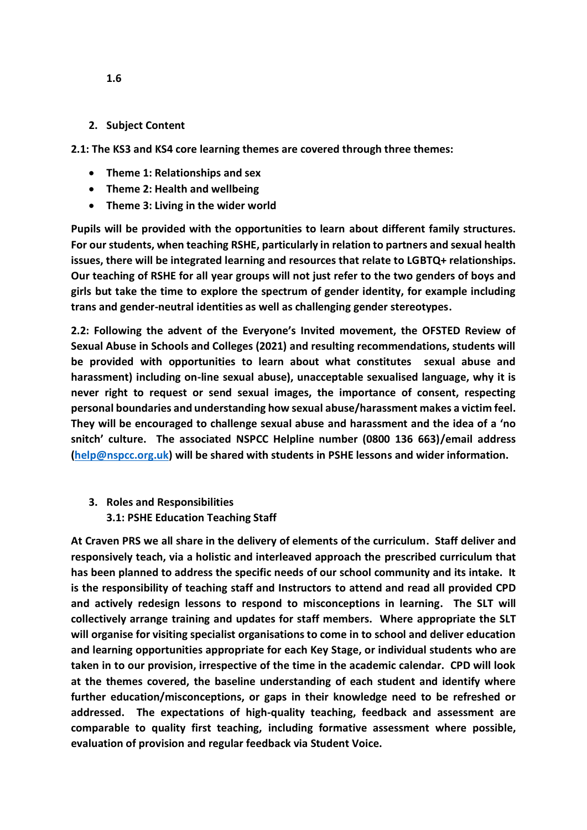#### **2. Subject Content**

**2.1: The KS3 and KS4 core learning themes are covered through three themes:**

- **Theme 1: Relationships and sex**
- **Theme 2: Health and wellbeing**
- **Theme 3: Living in the wider world**

**Pupils will be provided with the opportunities to learn about different family structures. For our students, when teaching RSHE, particularly in relation to partners and sexual health issues, there will be integrated learning and resources that relate to LGBTQ+ relationships. Our teaching of RSHE for all year groups will not just refer to the two genders of boys and girls but take the time to explore the spectrum of gender identity, for example including trans and gender-neutral identities as well as challenging gender stereotypes.**

**2.2: Following the advent of the Everyone's Invited movement, the OFSTED Review of Sexual Abuse in Schools and Colleges (2021) and resulting recommendations, students will be provided with opportunities to learn about what constitutes sexual abuse and harassment) including on-line sexual abuse), unacceptable sexualised language, why it is never right to request or send sexual images, the importance of consent, respecting personal boundaries and understanding how sexual abuse/harassment makes a victim feel. They will be encouraged to challenge sexual abuse and harassment and the idea of a 'no snitch' culture. The associated NSPCC Helpline number (0800 136 663)/email address [\(help@nspcc.org.uk\)](mailto:help@nspcc.org.uk) will be shared with students in PSHE lessons and wider information.**

**3. Roles and Responsibilities 3.1: PSHE Education Teaching Staff**

**At Craven PRS we all share in the delivery of elements of the curriculum. Staff deliver and responsively teach, via a holistic and interleaved approach the prescribed curriculum that has been planned to address the specific needs of our school community and its intake. It is the responsibility of teaching staff and Instructors to attend and read all provided CPD and actively redesign lessons to respond to misconceptions in learning. The SLT will collectively arrange training and updates for staff members. Where appropriate the SLT will organise for visiting specialist organisations to come in to school and deliver education and learning opportunities appropriate for each Key Stage, or individual students who are taken in to our provision, irrespective of the time in the academic calendar. CPD will look at the themes covered, the baseline understanding of each student and identify where further education/misconceptions, or gaps in their knowledge need to be refreshed or addressed. The expectations of high-quality teaching, feedback and assessment are comparable to quality first teaching, including formative assessment where possible, evaluation of provision and regular feedback via Student Voice.**

**1.6**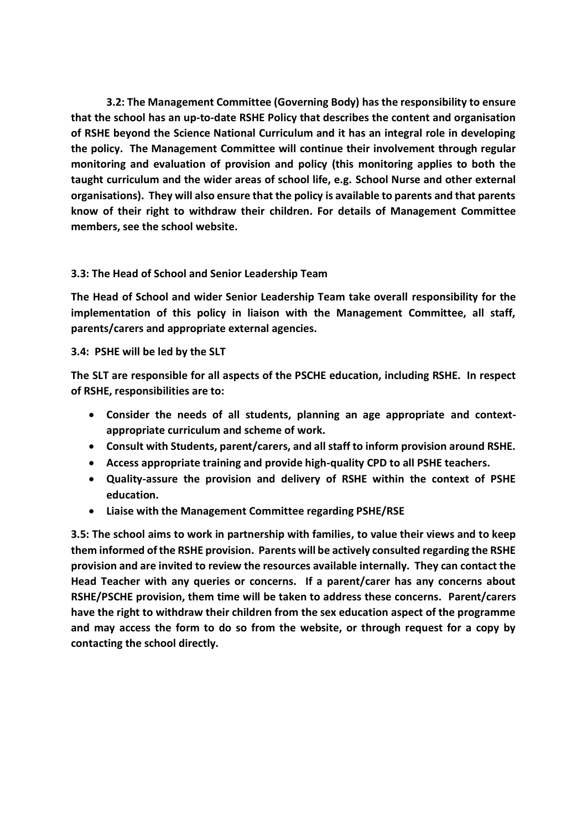**3.2: The Management Committee (Governing Body) has the responsibility to ensure that the school has an up-to-date RSHE Policy that describes the content and organisation of RSHE beyond the Science National Curriculum and it has an integral role in developing the policy. The Management Committee will continue their involvement through regular monitoring and evaluation of provision and policy (this monitoring applies to both the taught curriculum and the wider areas of school life, e.g. School Nurse and other external organisations). They will also ensure that the policy is available to parents and that parents know of their right to withdraw their children. For details of Management Committee members, see the school website.**

## **3.3: The Head of School and Senior Leadership Team**

**The Head of School and wider Senior Leadership Team take overall responsibility for the implementation of this policy in liaison with the Management Committee, all staff, parents/carers and appropriate external agencies.**

## **3.4: PSHE will be led by the SLT**

**The SLT are responsible for all aspects of the PSCHE education, including RSHE. In respect of RSHE, responsibilities are to:**

- **Consider the needs of all students, planning an age appropriate and contextappropriate curriculum and scheme of work.**
- **Consult with Students, parent/carers, and all staff to inform provision around RSHE.**
- **Access appropriate training and provide high-quality CPD to all PSHE teachers.**
- **Quality-assure the provision and delivery of RSHE within the context of PSHE education.**
- **Liaise with the Management Committee regarding PSHE/RSE**

**3.5: The school aims to work in partnership with families, to value their views and to keep them informed of the RSHE provision. Parents will be actively consulted regarding the RSHE provision and are invited to review the resources available internally. They can contact the Head Teacher with any queries or concerns. If a parent/carer has any concerns about RSHE/PSCHE provision, them time will be taken to address these concerns. Parent/carers have the right to withdraw their children from the sex education aspect of the programme and may access the form to do so from the website, or through request for a copy by contacting the school directly.**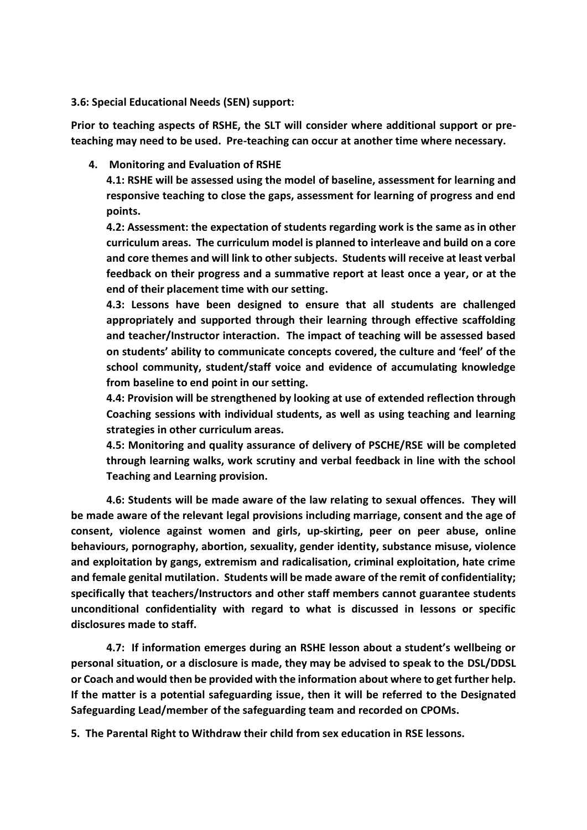#### **3.6: Special Educational Needs (SEN) support:**

**Prior to teaching aspects of RSHE, the SLT will consider where additional support or preteaching may need to be used. Pre-teaching can occur at another time where necessary.**

**4. Monitoring and Evaluation of RSHE**

**4.1: RSHE will be assessed using the model of baseline, assessment for learning and responsive teaching to close the gaps, assessment for learning of progress and end points.**

**4.2: Assessment: the expectation of students regarding work is the same as in other curriculum areas. The curriculum model is planned to interleave and build on a core and core themes and will link to other subjects. Students will receive at least verbal feedback on their progress and a summative report at least once a year, or at the end of their placement time with our setting.**

**4.3: Lessons have been designed to ensure that all students are challenged appropriately and supported through their learning through effective scaffolding and teacher/Instructor interaction. The impact of teaching will be assessed based on students' ability to communicate concepts covered, the culture and 'feel' of the school community, student/staff voice and evidence of accumulating knowledge from baseline to end point in our setting.**

**4.4: Provision will be strengthened by looking at use of extended reflection through Coaching sessions with individual students, as well as using teaching and learning strategies in other curriculum areas.**

**4.5: Monitoring and quality assurance of delivery of PSCHE/RSE will be completed through learning walks, work scrutiny and verbal feedback in line with the school Teaching and Learning provision.**

**4.6: Students will be made aware of the law relating to sexual offences. They will be made aware of the relevant legal provisions including marriage, consent and the age of consent, violence against women and girls, up-skirting, peer on peer abuse, online behaviours, pornography, abortion, sexuality, gender identity, substance misuse, violence and exploitation by gangs, extremism and radicalisation, criminal exploitation, hate crime and female genital mutilation. Students will be made aware of the remit of confidentiality; specifically that teachers/Instructors and other staff members cannot guarantee students unconditional confidentiality with regard to what is discussed in lessons or specific disclosures made to staff.**

**4.7: If information emerges during an RSHE lesson about a student's wellbeing or personal situation, or a disclosure is made, they may be advised to speak to the DSL/DDSL or Coach and would then be provided with the information about where to get further help. If the matter is a potential safeguarding issue, then it will be referred to the Designated Safeguarding Lead/member of the safeguarding team and recorded on CPOMs.**

**5. The Parental Right to Withdraw their child from sex education in RSE lessons.**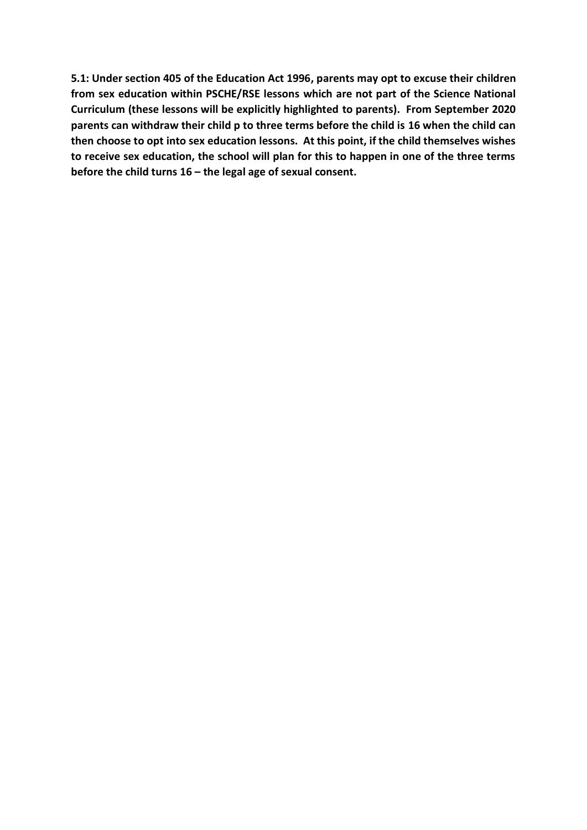**5.1: Under section 405 of the Education Act 1996, parents may opt to excuse their children from sex education within PSCHE/RSE lessons which are not part of the Science National Curriculum (these lessons will be explicitly highlighted to parents). From September 2020 parents can withdraw their child p to three terms before the child is 16 when the child can then choose to opt into sex education lessons. At this point, if the child themselves wishes to receive sex education, the school will plan for this to happen in one of the three terms before the child turns 16 – the legal age of sexual consent.**